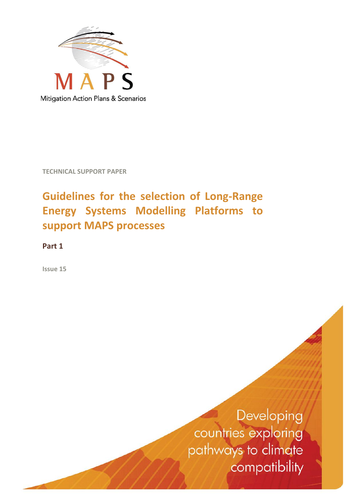

**TECHNICAL SUPPORT PAPER**

# **Guidelines for the selection of Long-Range Energy Systems Modelling Platforms to support MAPS processes**

**Part 1**

**Issue 15**

Developing countries exploring pathways to climate compatibility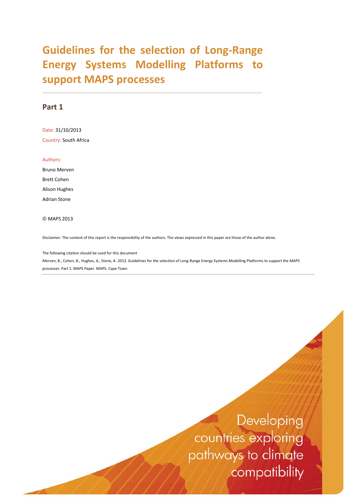# **Guidelines for the selection of Long-Range Energy Systems Modelling Platforms to support MAPS processes**

### **Part 1**

Date: 31/10/2013 Country: South Africa

Authors:

Bruno Merven Brett Cohen Alison Hughes Adrian Stone

© MAPS 2013

Disclaimer: The content of this report is the responsibility of the authors. The views expressed in this paper are those of the author alone.

The following citation should be used for this document Merven, B., Cohen, B., Hughes, A., Stone, A. 2013. Guidelines for the selection of Long-Range Energy Systems Modelling Platforms to support the MAPS processes: Part 1. MAPS Paper. MAPS: Cape Town

> Developing countries exploring pathways to climate compatibility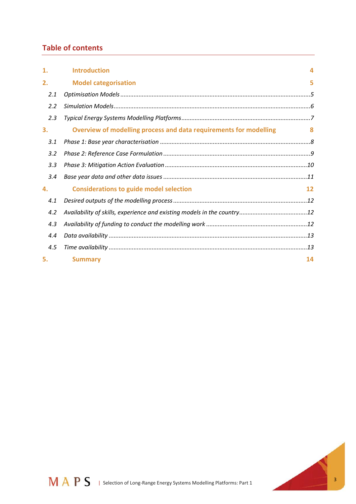# **Table of contents**

| 1.  | <b>Introduction</b>                                               | 4            |
|-----|-------------------------------------------------------------------|--------------|
| 2.  | <b>Model categorisation</b>                                       | 5            |
| 2.1 |                                                                   |              |
| 2.2 |                                                                   |              |
| 2.3 |                                                                   |              |
| 3.  | Overview of modelling process and data requirements for modelling | $\mathbf{R}$ |
| 3.1 |                                                                   |              |
| 3.2 |                                                                   |              |
| 3.3 |                                                                   |              |
| 3.4 |                                                                   |              |
| 4.  | <b>Considerations to guide model selection</b>                    | 12           |
| 4.1 |                                                                   |              |
| 4.2 |                                                                   |              |
| 4.3 |                                                                   |              |
| 4.4 |                                                                   |              |
| 4.5 |                                                                   |              |
| 5.  | <b>Summary</b>                                                    | 14           |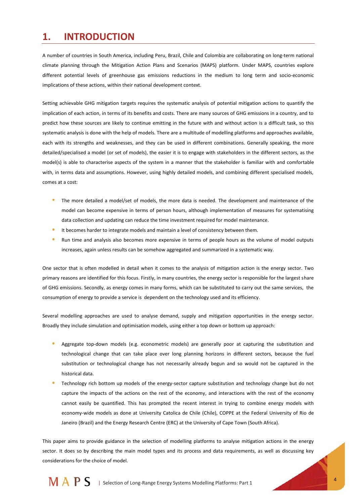# **1. INTRODUCTION**

A number of countries in South America, including Peru, Brazil, Chile and Colombia are collaborating on long-term national climate planning through the Mitigation Action Plans and Scenarios (MAPS) platform. Under MAPS, countries explore different potential levels of greenhouse gas emissions reductions in the medium to long term and socio-economic implications of these actions, within their national development context.

Setting achievable GHG mitigation targets requires the systematic analysis of potential mitigation actions to quantify the implication of each action, in terms of its benefits and costs. There are many sources of GHG emissions in a country, and to predict how these sources are likely to continue emitting in the future with and without action is a difficult task, so this systematic analysis is done with the help of models. There are a multitude of modelling platforms and approaches available, each with its strengths and weaknesses, and they can be used in different combinations. Generally speaking, the more detailed/specialised a model (or set of models), the easier it is to engage with stakeholders in the different sectors, as the model(s) is able to characterise aspects of the system in a manner that the stakeholder is familiar with and comfortable with, in terms data and assumptions. However, using highly detailed models, and combining different specialised models, comes at a cost:

- The more detailed a model/set of models, the more data is needed. The development and maintenance of the model can become expensive in terms of person hours, although implementation of measures for systematising data collection and updating can reduce the time investment required for model maintenance.
- $\bullet$ It becomes harder to integrate models and maintain a level of consistency between them.
- $\bullet$ Run time and analysis also becomes more expensive in terms of people hours as the volume of model outputs increases, again unless results can be somehow aggregated and summarized in a systematic way.

One sector that is often modelled in detail when it comes to the analysis of mitigation action is the energy sector. Two primary reasons are identified for this focus. Firstly, in many countries, the energy sector is responsible for the largest share of GHG emissions. Secondly, as energy comes in many forms, which can be substituted to carry out the same services, the consumption of energy to provide a service is dependent on the technology used and its efficiency.

Several modelling approaches are used to analyse demand, supply and mitigation opportunities in the energy sector. Broadly they include simulation and optimisation models, using either a top down or bottom up approach:

- Aggregate top-down models (e.g. econometric models) are generally poor at capturing the substitution and technological change that can take place over long planning horizons in different sectors, because the fuel substitution or technological change has not necessarily already begun and so would not be captured in the historical data.
- Technology rich bottom up models of the energy-sector capture substitution and technology change but do not capture the impacts of the actions on the rest of the economy, and interactions with the rest of the economy cannot easily be quantified. This has prompted the recent interest in trying to combine energy models with economy-wide models as done at University Catolica de Chile (Chile), COPPE at the Federal University of Rio de Janeiro (Brazil) and the Energy Research Centre (ERC) at the University of Cape Town (South Africa).

This paper aims to provide guidance in the selection of modelling platforms to analyse mitigation actions in the energy sector. It does so by describing the main model types and its process and data requirements, as well as discussing key considerations for the choice of model.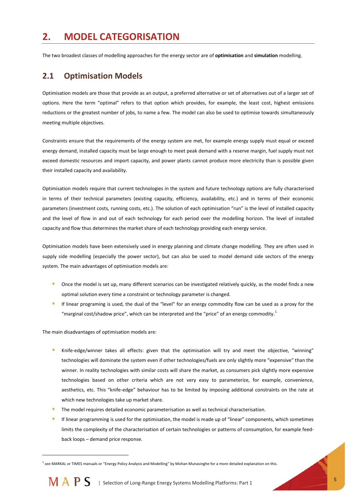# **2. MODEL CATEGORISATION**

The two broadest classes of modelling approaches for the energy sector are of **optimisation** and **simulation** modelling.

### **2.1 Optimisation Models**

Optimisation models are those that provide as an output, a preferred alternative or set of alternatives out of a larger set of options. Here the term "optimal" refers to that option which provides, for example, the least cost, highest emissions reductions or the greatest number of jobs, to name a few. The model can also be used to optimise towards simultaneously meeting multiple objectives.

Constraints ensure that the requirements of the energy system are met, for example energy supply must equal or exceed energy demand, installed capacity must be large enough to meet peak demand with a reserve margin, fuel supply must not exceed domestic resources and import capacity, and power plants cannot produce more electricity than is possible given their installed capacity and availability.

Optimisation models require that current technologies in the system and future technology options are fully characterised in terms of their technical parameters (existing capacity, efficiency, availability, etc.) and in terms of their economic parameters (investment costs, running costs, etc.). The solution of each optimisation "run" is the level of installed capacity and the level of flow in and out of each technology for each period over the modelling horizon. The level of installed capacity and flow thus determines the market share of each technology providing each energy service.

Optimisation models have been extensively used in energy planning and climate change modelling. They are often used in supply side modelling (especially the power sector), but can also be used to model demand side sectors of the energy system. The main advantages of optimisation models are:

- Once the model is set up, many different scenarios can be investigated relatively quickly, as the model finds a new optimal solution every time a constraint or technology parameter is changed.
- If linear programing is used, the dual of the "level" for an energy commodity flow can be used as a proxy for the "marginal cost/shadow price", which can be interpreted and the "price" of an energy commodity.<sup>1</sup>

The main disadvantages of optimisation models are:

l

- Knife-edge/winner takes all effects: given that the optimisation will try and meet the objective, "winning" technologies will dominate the system even if other technologies/fuels are only slightly more "expensive" than the winner. In reality technologies with similar costs will share the market, as consumers pick slightly more expensive technologies based on other criteria which are not very easy to parameterize, for example, convenience, aesthetics, etc. This "knife-edge" behaviour has to be limited by imposing additional constraints on the rate at which new technologies take up market share.
- The model requires detailed economic parameterisation as well as technical characterisation.
- If linear programming is used for the optimisation, the model is made up of "linear" components, which sometimes limits the complexity of the characterisation of certain technologies or patterns of consumption, for example feedback loops – demand price response.

<sup>&</sup>lt;sup>1</sup> see MARKAL or TIMES manuals or "Energy Policy Analysis and Modelling" by Mohan Munasinghe for a more detailed explanation on this.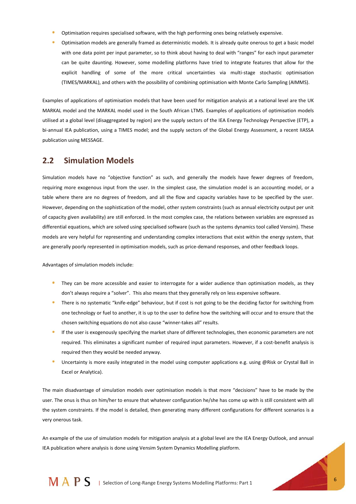- Optimisation requires specialised software, with the high performing ones being relatively expensive.
- Optimisation models are generally framed as deterministic models. It is already quite onerous to get a basic model with one data point per input parameter, so to think about having to deal with "ranges" for each input parameter can be quite daunting. However, some modelling platforms have tried to integrate features that allow for the explicit handling of some of the more critical uncertainties via multi-stage stochastic optimisation (TIMES/MARKAL), and others with the possibility of combining optimisation with Monte Carlo Sampling (AIMMS).

Examples of applications of optimisation models that have been used for mitigation analysis at a national level are the UK MARKAL model and the MARKAL model used in the South African LTMS. Examples of applications of optimisation models utilised at a global level (disaggregated by region) are the supply sectors of the IEA Energy Technology Perspective (ETP), a bi-annual IEA publication, using a TIMES model; and the supply sectors of the Global Energy Assessment, a recent IIASSA publication using MESSAGE.

### **2.2 Simulation Models**

Simulation models have no "objective function" as such, and generally the models have fewer degrees of freedom, requiring more exogenous input from the user. In the simplest case, the simulation model is an accounting model, or a table where there are no degrees of freedom, and all the flow and capacity variables have to be specified by the user. However, depending on the sophistication of the model, other system constraints (such as annual electricity output per unit of capacity given availability) are still enforced. In the most complex case, the relations between variables are expressed as differential equations, which are solved using specialised software (such as the systems dynamics tool called Vensim). These models are very helpful for representing and understanding complex interactions that exist within the energy system, that are generally poorly represented in optimisation models, such as price-demand responses, and other feedback loops.

Advantages of simulation models include:

- They can be more accessible and easier to interrogate for a wider audience than optimisation models, as they don't always require a "solver". This also means that they generally rely on less expensive software.
- There is no systematic "knife-edge" behaviour, but if cost is not going to be the deciding factor for switching from one technology or fuel to another, it is up to the user to define how the switching will occur and to ensure that the chosen switching equations do not also cause "winner-takes all" results.
- If the user is exogenously specifying the market share of different technologies, then economic parameters are not required. This eliminates a significant number of required input parameters. However, if a cost-benefit analysis is required then they would be needed anyway.
- Uncertainty is more easily integrated in the model using computer applications e.g. using @Risk or Crystal Ball in Excel or Analytica).

The main disadvantage of simulation models over optimisation models is that more "decisions" have to be made by the user. The onus is thus on him/her to ensure that whatever configuration he/she has come up with is still consistent with all the system constraints. If the model is detailed, then generating many different configurations for different scenarios is a very onerous task.

An example of the use of simulation models for mitigation analysis at a global level are the IEA Energy Outlook, and annual IEA publication where analysis is done using Vensim System Dynamics Modelling platform.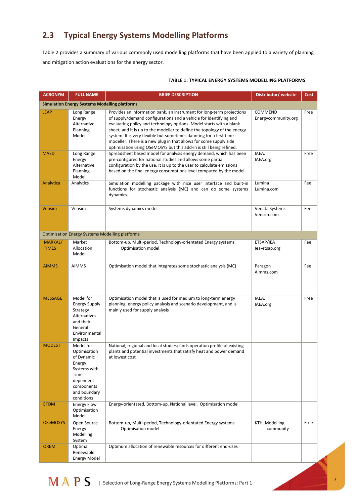# **2.3 Typical Energy Systems Modelling Platforms**

Table 2 provides a summary of various commonly used modelling platforms that have been applied to a variety of planning and mitigation action evaluations for the energy sector.

| <b>ACRONYM</b>          | <b>FULL NAME</b>                                                                                                                              | <b>BRIEF DESCRIPTION</b>                                                                                                                                                                                                                                                                                                                                                                                                                  | Distributor/website                   | Cost |
|-------------------------|-----------------------------------------------------------------------------------------------------------------------------------------------|-------------------------------------------------------------------------------------------------------------------------------------------------------------------------------------------------------------------------------------------------------------------------------------------------------------------------------------------------------------------------------------------------------------------------------------------|---------------------------------------|------|
|                         | <b>Simulation Energy Systems Modelling platforms</b>                                                                                          |                                                                                                                                                                                                                                                                                                                                                                                                                                           |                                       |      |
| <b>LEAP</b>             | Long Range<br>Energy<br>Alternative<br>Planning<br>Model                                                                                      | Provides an information bank, an instrument for long-term projections<br>of supply/demand configurations and a vehicle for identifying and<br>evaluating policy and technology options. Model starts with a blank<br>sheet, and it is up to the modeller to define the topology of the energy<br>system. It is very flexible but sometimes daunting for a first time<br>modeller. There is a new plug in that allows for some supply side | <b>COMMEND</b><br>Energycommunity.org | Free |
| <b>MAED</b>             | Long Range<br>Energy<br>Alternative<br>Planning<br>Model                                                                                      | optimisation using OSeMOSYS but this add-in is still being refined.<br>Spreadsheet based model for analysis energy demand, which has been<br>pre-configured for national studies and allows some partial<br>configuration by the use. It is up to the user to calculate emissions<br>based on the final energy consumptions level computed by the model.                                                                                  | IAEA.<br>IAEA.org                     | Free |
| Analytica               | Analytics                                                                                                                                     | Simulation modelling package with nice user interface and built-in<br>functions for stochastic analysis (MC) and can do some systems<br>dynamics.                                                                                                                                                                                                                                                                                         | Lumina<br>Lumina.com                  | Fee  |
| <b>Vensim</b>           | Vensim                                                                                                                                        | Systems dynamics model                                                                                                                                                                                                                                                                                                                                                                                                                    | Venata Systems<br>Vensim.com          | Fee  |
|                         | <b>Optimisation Energy Systems Modelling platforms</b>                                                                                        |                                                                                                                                                                                                                                                                                                                                                                                                                                           |                                       |      |
| MARKAL/<br><b>TIMES</b> | Market<br>Allocation<br>Model                                                                                                                 | Bottom-up, Multi-period, Technology-orientated Energy systems<br>Optimisation model                                                                                                                                                                                                                                                                                                                                                       | ETSAP/IEA<br>lea-etsap.org            | Fee  |
| <b>AIMMS</b>            | <b>AIMMS</b>                                                                                                                                  | Optimisation model that integrates some stochastic analysis (MC)                                                                                                                                                                                                                                                                                                                                                                          | Paragon<br>Aimms.com                  | Fee  |
| <b>MESSAGE</b>          | Model for<br><b>Energy Supply</b><br>Strategy<br><b>Alternatives</b><br>and their<br>General<br>Environmental                                 | Optimisation model that is used for medium to long-term energy<br>planning, energy policy analysis and scenario development, and is<br>mainly used for supply analysis                                                                                                                                                                                                                                                                    | IAEA.<br>IAEA.org                     | Free |
| <b>MODEST</b>           | Impacts<br>Model for<br>Optimisation<br>of Dynamic<br>Energy<br>Systems with<br>Time<br>dependent<br>components<br>and boundary<br>conditions | National, regional and local studies; finds operation profile of existing<br>plants and potential investments that satisfy heat and power demand<br>at lowest cost                                                                                                                                                                                                                                                                        |                                       |      |
| <b>EFOM</b>             | <b>Energy Flow</b><br>Optimisation<br>Model                                                                                                   | Energy-orientated, Bottom-up, National level, Optimisation model                                                                                                                                                                                                                                                                                                                                                                          |                                       |      |
| <b>OSeMOSYS</b>         | Open Source<br>Energy<br>Modelling<br>System                                                                                                  | Bottom-up, Multi-period, Technology-orientated Energy systems<br>Optimisation model                                                                                                                                                                                                                                                                                                                                                       | KTH, Modelling<br>community           | Free |
| <b>OREM</b>             | Optimal<br>Renewable<br><b>Energy Model</b>                                                                                                   | Optimum allocation of renewable resources for different end-uses                                                                                                                                                                                                                                                                                                                                                                          |                                       |      |

#### **TABLE 1: TYPICAL ENERGY SYSTEMS MODELLING PLATFORMS**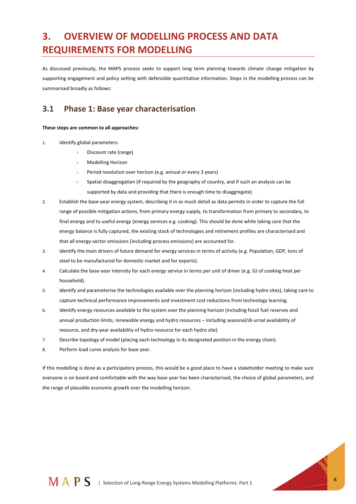# **3. OVERVIEW OF MODELLING PROCESS AND DATA REQUIREMENTS FOR MODELLING**

As discussed previously, the MAPS process seeks to support long term planning towards climate change mitigation by supporting engagement and policy setting with defensible quantitative information. Steps in the modelling process can be summarised broadly as follows:

# **3.1 Phase 1: Base year characterisation**

#### **These steps are common to all approaches:**

- 1. Identify global parameters:
	- > Discount rate (range)
	- > Modelling Horizon
	- > Period resolution over horizon (e.g. annual or every 3 years)
	- Spatial disaggregation (if required by the geography of country, and if such an analysis can be supported by data and providing that there is enough time to disaggregate)
- 2. Establish the base-year energy system, describing it in as much detail as data permits in order to capture the full range of possible mitigation actions, from primary energy supply, to transformation from primary to secondary, to final energy and to useful energy (energy services e.g. cooking). This should be done while taking care that the energy balance is fully captured, the existing stock of technologies and retirement profiles are characterised and that all energy-sector emissions (including process emissions) are accounted for.
- 3. Identify the main drivers of future demand for energy services in terms of activity (e.g. Population, GDP, tons of steel to be manufactured for domestic market and for exports).
- 4. Calculate the base-year intensity for each energy service in terms per unit of driver (e.g. GJ of cooking heat per household).
- 5. Identify and parameterise the technologies available over the planning horizon (including hydro sites), taking care to capture technical performance improvements and investment cost reductions from technology learning.
- 6. Identify energy resources available to the system over the planning horizon (including fossil fuel reserves and annual production limits, renewable energy and hydro resources – including seasonal/di-urnal availability of resource, and dry-year availability of hydro resource for each hydro site)
- 7. Describe topology of model (placing each technology in its designated position in the energy chain).
- 8. Perform load curve analysis for base year.

If this modelling is done as a participatory process, this would be a good place to have a stakeholder meeting to make sure everyone is on board and comfortable with the way base year has been characterised, the choice of global parameters, and the range of plausible economic growth over the modelling horizon.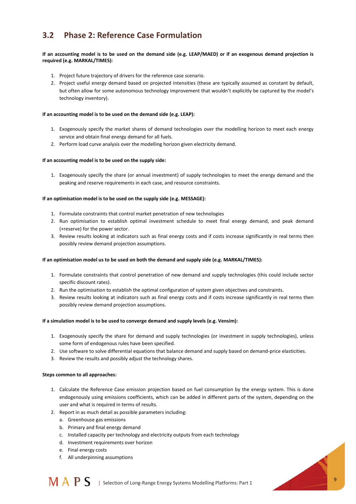# **3.2 Phase 2: Reference Case Formulation**

#### **If an accounting model is to be used on the demand side (e.g. LEAP/MAED) or if an exogenous demand projection is required (e.g. MARKAL/TIMES):**

- 1. Project future trajectory of drivers for the reference case scenario.
- 2. Project useful energy demand based on projected intensities (these are typically assumed as constant by default, but often allow for some autonomous technology improvement that wouldn't explicitly be captured by the model's technology inventory).

#### **If an accounting model is to be used on the demand side (e.g. LEAP):**

- 1. Exogenously specify the market shares of demand technologies over the modelling horizon to meet each energy service and obtain final energy demand for all fuels.
- 2. Perform load curve analysis over the modelling horizon given electricity demand.

#### **If an accounting model is to be used on the supply side:**

1. Exogenously specify the share (or annual investment) of supply technologies to meet the energy demand and the peaking and reserve requirements in each case, and resource constraints.

#### **If an optimisation model is to be used on the supply side (e.g. MESSAGE):**

- 1. Formulate constraints that control market penetration of new technologies
- 2. Run optimisation to establish optimal investment schedule to meet final energy demand, and peak demand (+reserve) for the power sector.
- 3. Review results looking at indicators such as final energy costs and if costs increase significantly in real terms then possibly review demand projection assumptions.

#### **If an optimisation model us to be used on both the demand and supply side (e.g. MARKAL/TIMES):**

- 1. Formulate constraints that control penetration of new demand and supply technologies (this could include sector specific discount rates).
- 2. Run the optimisation to establish the optimal configuration of system given objectives and constraints.
- 3. Review results looking at indicators such as final energy costs and if costs increase significantly in real terms then possibly review demand projection assumptions.

#### **If a simulation model is to be used to converge demand and supply levels (e.g. Vensim):**

- 1. Exogenously specify the share for demand and supply technologies (or investment in supply technologies), unless some form of endogenous rules have been specified.
- 2. Use software to solve differential equations that balance demand and supply based on demand-price elasticities.
- 3. Review the results and possibly adjust the technology shares.

#### **Steps common to all approaches:**

- 1. Calculate the Reference Case emission projection based on fuel consumption by the energy system. This is done endogenously using emissions coefficients, which can be added in different parts of the system, depending on the user and what is required in terms of results.
- 2. Report in as much detail as possible parameters including:
	- a. Greenhouse gas emissions
	- b. Primary and final energy demand
	- c. Installed capacity per technology and electricity outputs from each technology
	- d. Investment requirements over horizon
	- e. Final energy costs
	- f. All underpinning assumptions

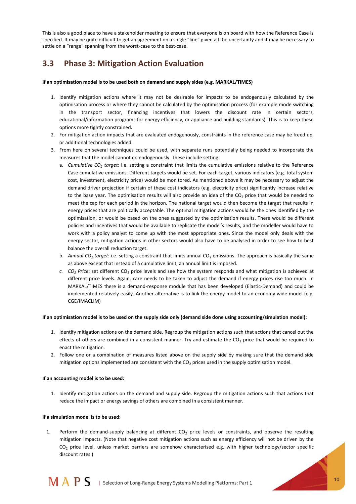This is also a good place to have a stakeholder meeting to ensure that everyone is on board with how the Reference Case is specified. It may be quite difficult to get an agreement on a single "line" given all the uncertainty and it may be necessary to settle on a "range" spanning from the worst-case to the best-case.

# **3.3 Phase 3: Mitigation Action Evaluation**

#### **If an optimisation model is to be used both on demand and supply sides (e.g. MARKAL/TIMES)**

- 1. Identify mitigation actions where it may not be desirable for impacts to be endogenously calculated by the optimisation process or where they cannot be calculated by the optimisation process (for example mode switching in the transport sector, financing incentives that lowers the discount rate in certain sectors, educational/information programs for energy efficiency, or appliance and building standards). This is to keep these options more tightly constrained.
- 2. For mitigation action impacts that are evaluated endogenously, constraints in the reference case may be freed up, or additional technologies added.
- 3. From here on several techniques could be used, with separate runs potentially being needed to incorporate the measures that the model cannot do endogenously. These include setting:
	- a. *Cumulative CO<sup>2</sup> target*: i.e. setting a constraint that limits the cumulative emissions relative to the Reference Case cumulative emissions. Different targets would be set. For each target, various indicators (e.g. total system cost, investment, electricity price) would be monitored. As mentioned above it may be necessary to adjust the demand driver projection if certain of these cost indicators (e.g. electricity price) significantly increase relative to the base year. The optimisation results will also provide an idea of the  $CO<sub>2</sub>$  price that would be needed to meet the cap for each period in the horizon. The national target would then become the target that results in energy prices that are politically acceptable. The optimal mitigation actions would be the ones identified by the optimisation, or would be based on the ones suggested by the optimisation results. There would be different policies and incentives that would be available to replicate the model's results, and the modeller would have to work with a policy analyst to come up with the most appropriate ones. Since the model only deals with the energy sector, mitigation actions in other sectors would also have to be analysed in order to see how to best balance the overall reduction target.
	- b. *Annual CO<sup>2</sup> target*: i.e. setting a constraint that limits annual CO<sup>2</sup> emissions. The approach is basically the same as above except that instead of a cumulative limit, an annual limit is imposed.
	- *c. CO<sup>2</sup> Price*: set different CO<sup>2</sup> price levels and see how the system responds and what mitigation is achieved at different price levels. Again, care needs to be taken to adjust the demand if energy prices rise too much. In MARKAL/TIMES there is a demand-response module that has been developed (Elastic-Demand) and could be implemented relatively easily. Another alternative is to link the energy model to an economy wide model (e.g. CGE/IMACLIM)

#### **If an optimisation model is to be used on the supply side only (demand side done using accounting/simulation model):**

- 1. Identify mitigation actions on the demand side. Regroup the mitigation actions such that actions that cancel out the effects of others are combined in a consistent manner. Try and estimate the  $CO<sub>2</sub>$  price that would be required to enact the mitigation.
- 2. Follow one or a combination of measures listed above on the supply side by making sure that the demand side mitigation options implemented are consistent with the  $CO<sub>2</sub>$  prices used in the supply optimisation model.

#### **If an accounting model is to be used:**

1. Identify mitigation actions on the demand and supply side. Regroup the mitigation actions such that actions that reduce the impact or energy savings of others are combined in a consistent manner.

#### **If a simulation model is to be used:**

1. Perform the demand-supply balancing at different CO<sub>2</sub> price levels or constraints, and observe the resulting mitigation impacts. (Note that negative cost mitigation actions such as energy efficiency will not be driven by the CO<sup>2</sup> price level, unless market barriers are somehow characterised e.g. with higher technology/sector specific discount rates.)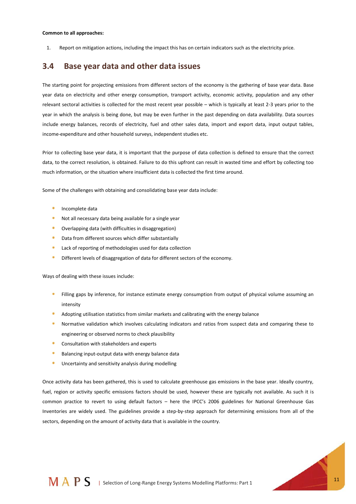1. Report on mitigation actions, including the impact this has on certain indicators such as the electricity price.

### **3.4 Base year data and other data issues**

The starting point for projecting emissions from different sectors of the economy is the gathering of base year data. Base year data on electricity and other energy consumption, transport activity, economic activity, population and any other relevant sectoral activities is collected for the most recent year possible – which is typically at least 2-3 years prior to the year in which the analysis is being done, but may be even further in the past depending on data availability. Data sources include energy balances, records of electricity, fuel and other sales data, import and export data, input output tables, income-expenditure and other household surveys, independent studies etc.

Prior to collecting base year data, it is important that the purpose of data collection is defined to ensure that the correct data, to the correct resolution, is obtained. Failure to do this upfront can result in wasted time and effort by collecting too much information, or the situation where insufficient data is collected the first time around.

Some of the challenges with obtaining and consolidating base year data include:

- Incomplete data
- Not all necessary data being available for a single year
- $\bullet$ Overlapping data (with difficulties in disaggregation)
- $\bullet$ Data from different sources which differ substantially
- $\bullet$ Lack of reporting of methodologies used for data collection
- $\ddot{\bullet}$ Different levels of disaggregation of data for different sectors of the economy.

Ways of dealing with these issues include:

- Filling gaps by inference, for instance estimate energy consumption from output of physical volume assuming an intensity
- Adopting utilisation statistics from similar markets and calibrating with the energy balance
- Normative validation which involves calculating indicators and ratios from suspect data and comparing these to  $\bullet$ engineering or observed norms to check plausibility
- $\bullet$ Consultation with stakeholders and experts
- $\bullet$ Balancing input-output data with energy balance data
- $\ddot{\bullet}$ Uncertainty and sensitivity analysis during modelling

Once activity data has been gathered, this is used to calculate greenhouse gas emissions in the base year. Ideally country, fuel, region or activity specific emissions factors should be used, however these are typically not available. As such it is common practice to revert to using default factors – here the IPCC's 2006 guidelines for National Greenhouse Gas Inventories are widely used. The guidelines provide a step-by-step approach for determining emissions from all of the sectors, depending on the amount of activity data that is available in the country.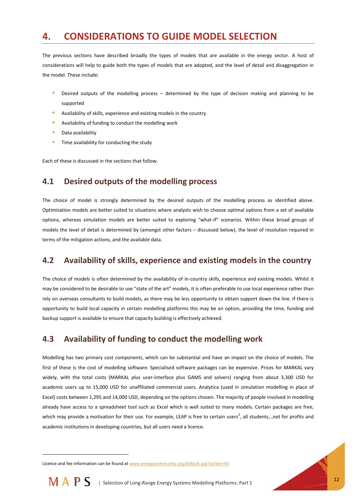# **4. CONSIDERATIONS TO GUIDE MODEL SELECTION**

The previous sections have described broadly the types of models that are available in the energy sector. A host of considerations will help to guide both the types of models that are adopted, and the level of detail and disaggregation in the model. These include:

- Desired outputs of the modelling process determined by the type of decision making and planning to be supported
- Availability of skills, experience and existing models in the country
- Availability of funding to conduct the modelling work
- $\bullet$ Data availability
- $\ddot{\bullet}$ Time availability for conducting the study

Each of these is discussed in the sections that follow.

## **4.1 Desired outputs of the modelling process**

The choice of model is strongly determined by the desired outputs of the modelling process as identified above. Optimisation models are better suited to situations where analysts wish to choose optimal options from a set of available options, whereas simulation models are better suited to exploring "what-if" scenarios. Within these broad groups of models the level of detail is determined by (amongst other factors – discussed below), the level of resolution required in terms of the mitigation actions, and the available data.

## **4.2 Availability of skills, experience and existing models in the country**

The choice of models is often determined by the availability of in-country skills, experience and existing models. Whilst it may be considered to be desirable to use "state of the art" models, it is often preferable to use local experience rather than rely on overseas consultants to build models, as there may be less opportunity to obtain support down the line. If there is opportunity to build local capacity in certain modelling platforms this may be an option, providing the time, funding and backup support is available to ensure that capacity building is effectively achieved.

## **4.3 Availability of funding to conduct the modelling work**

Modelling has two primary cost components, which can be substantial and have an impact on the choice of models. The first of these is the cost of modelling software. Specialised software packages can be expensive. Prices for MARKAL vary widely, with the total costs (MARKAL plus user-interface plus GAMS and solvers) ranging from about 3,300 USD for academic users up to 15,000 USD for unaffiliated commercial users. Analytica (used in simulation modelling in place of Excel) costs between 1,295 and 14,000 USD, depending on the options chosen. The majority of people involved in modelling already have access to a spreadsheet tool such as Excel which is well suited to many models. Certain packages are free, which may provide a motivation for their use. For example, LEAP is free to certain users<sup>2</sup>, all students, ,not for profits and academic institutions in developing countries, but all users need a licence.

Licence and fee information can be found a[t www.energycommunity.org/default.asp?action=43](file:///C:/Users/user/Downloads/www.energycommunity.org/default.asp%3faction=43)



l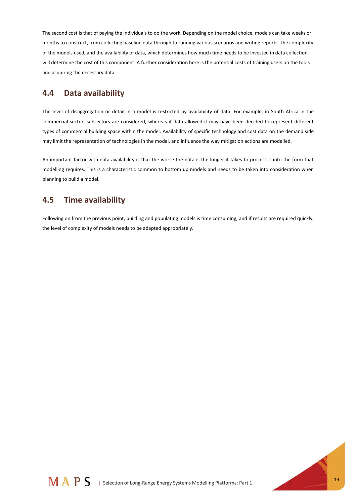The second cost is that of paying the individuals to do the work. Depending on the model choice, models can take weeks or months to construct, from collecting baseline data through to running various scenarios and writing reports. The complexity of the models used, and the availability of data, which determines how much time needs to be invested in data collection, will determine the cost of this component. A further consideration here is the potential costs of training users on the tools and acquiring the necessary data.

### **4.4 Data availability**

The level of disaggregation or detail in a model is restricted by availability of data. For example, in South Africa in the commercial sector, subsectors are considered, whereas if data allowed it may have been decided to represent different types of commercial building space within the model. Availability of specific technology and cost data on the demand side may limit the representation of technologies in the model, and influence the way mitigation actions are modelled.

An important factor with data availability is that the worse the data is the longer it takes to process it into the form that modelling requires. This is a characteristic common to bottom up models and needs to be taken into consideration when planning to build a model.

## **4.5 Time availability**

Following on from the previous point, building and populating models is time consuming, and if results are required quickly, the level of complexity of models needs to be adapted appropriately.